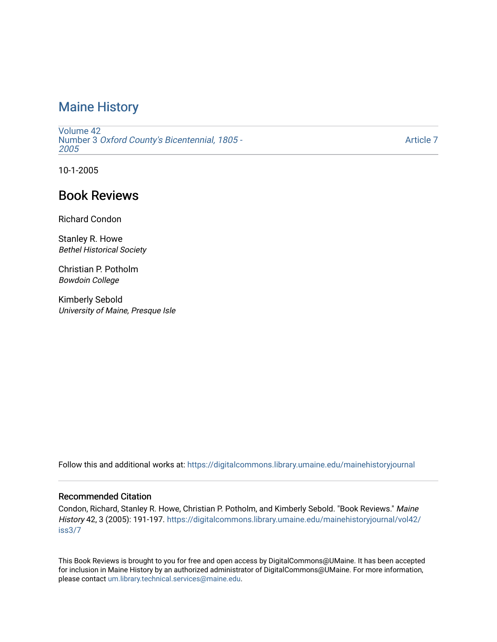[Volume 42](https://digitalcommons.library.umaine.edu/mainehistoryjournal/vol42) Number 3 [Oxford County's Bicentennial, 1805 -](https://digitalcommons.library.umaine.edu/mainehistoryjournal/vol42/iss3) [2005](https://digitalcommons.library.umaine.edu/mainehistoryjournal/vol42/iss3) 

[Article 7](https://digitalcommons.library.umaine.edu/mainehistoryjournal/vol42/iss3/7) 

10-1-2005

# Book Reviews

Richard Condon

Stanley R. Howe Bethel Historical Society

Christian P. Potholm Bowdoin College

Kimberly Sebold University of Maine, Presque Isle

Follow this and additional works at: [https://digitalcommons.library.umaine.edu/mainehistoryjournal](https://digitalcommons.library.umaine.edu/mainehistoryjournal?utm_source=digitalcommons.library.umaine.edu%2Fmainehistoryjournal%2Fvol42%2Fiss3%2F7&utm_medium=PDF&utm_campaign=PDFCoverPages) 

#### Recommended Citation

Condon, Richard, Stanley R. Howe, Christian P. Potholm, and Kimberly Sebold. "Book Reviews." Maine History 42, 3 (2005): 191-197. [https://digitalcommons.library.umaine.edu/mainehistoryjournal/vol42/](https://digitalcommons.library.umaine.edu/mainehistoryjournal/vol42/iss3/7?utm_source=digitalcommons.library.umaine.edu%2Fmainehistoryjournal%2Fvol42%2Fiss3%2F7&utm_medium=PDF&utm_campaign=PDFCoverPages) [iss3/7](https://digitalcommons.library.umaine.edu/mainehistoryjournal/vol42/iss3/7?utm_source=digitalcommons.library.umaine.edu%2Fmainehistoryjournal%2Fvol42%2Fiss3%2F7&utm_medium=PDF&utm_campaign=PDFCoverPages)

This Book Reviews is brought to you for free and open access by DigitalCommons@UMaine. It has been accepted for inclusion in Maine History by an authorized administrator of DigitalCommons@UMaine. For more information, please contact [um.library.technical.services@maine.edu.](mailto:um.library.technical.services@maine.edu)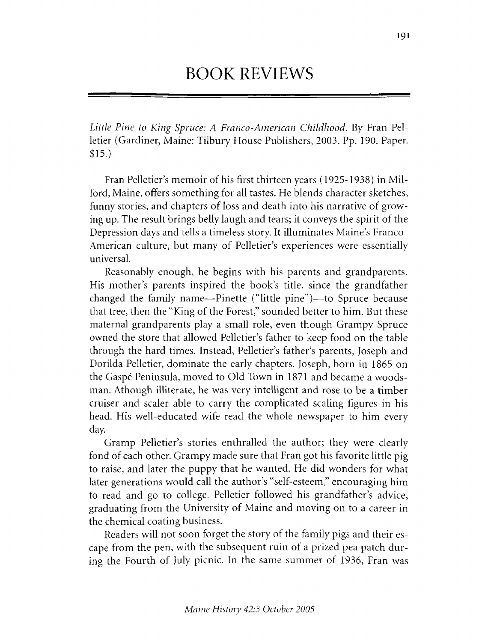# BOOK REVIEWS

*Little Pine to King Spruce: A Franco-American Childhood. By Fran Pel*letier (Gardiner, Maine: Tilbury House Publishers, 2003. Pp. 190. Paper. \$15.)

Fran Pelletier's memoir of his first thirteen years (1925-1938) in Milford, Maine, offers something for all tastes. He blends character sketches, funny stories, and chapters of loss and death into his narrative of growing up. The result brings belly laugh and tears; it conveys the spirit of the Depression days and tells a timeless story. It illuminates Maine's Franco-American culture, but many of Pelletier's experiences were essentially universal.

Reasonably enough, he begins with his parents and grandparents. His mother's parents inspired the book's title, since the grandfather changed the family name— Pinette ("little pine")— to Spruce because that tree, then the "King of the Forest," sounded better to him. But these maternal grandparents play a small role, even though Grampy Spruce owned the store that allowed Pelletier's father to keep food on the table through the hard times. Instead, Pelletier's father's parents, Joseph and Dorilda Pelletier, dominate the early chapters. Joseph, born in 1865 on the Gaspé Peninsula, moved to Old Town in 1871 and became a woodsman. Athough illiterate, he was very intelligent and rose to be a timber cruiser and scaler able to carry the complicated scaling figures in his head. His well-educated wife read the whole newspaper to him every day.

Gramp Pelletier's stories enthralled the author; they were clearly fond of each other. Grampy made sure that Fran got his favorite little pig to raise, and later the puppy that he wanted. He did wonders for what later generations would call the author's "self-esteem," encouraging him to read and go to college. Pelletier followed his grandfather's advice, graduating from the University of Maine and moving on to a career in the chemical coating business.

Readers will not soon forget the story of the family pigs and their escape from the pen, with the subsequent ruin of a prized pea patch during the Fourth of July picnic. In the same summer of 1936, Fran was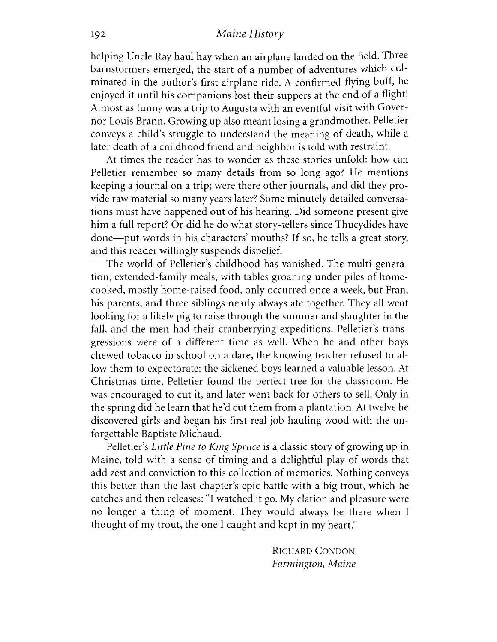helping Uncle Ray haul hay when an airplane landed on the field. Three barnstormers emerged, the start of a number of adventures which culminated in the author's first airplane ride. A confirmed flying buff, he enjoyed it until his companions lost their suppers at the end of a flight! Almost as funny was a trip to Augusta with an eventful visit with Governor Louis Brann. Growing up also meant losing a grandmother. Pelletier conveys a child's struggle to understand the meaning of death, while a later death of a childhood friend and neighbor is told with restraint.

At times the reader has to wonder as these stories unfold: how can Pelletier remember so many details from so long ago? He mentions keeping a journal on a trip; were there other journals, and did they provide raw material so many years later? Some minutely detailed conversations must have happened out of his hearing. Did someone present give him a full report? Or did he do what story-tellers since Thucydides have done— put words in his characters' mouths? If so, he tells a great story, and this reader willingly suspends disbelief.

The world of Pelletier's childhood has vanished. The multi-generation, extended-family meals, with tables groaning under piles of homecooked, mostly home-raised food, only occurred once a week, but Fran, his parents, and three siblings nearly always ate together. They all went looking for a likely pig to raise through the summer and slaughter in the fall, and the men had their cranberrying expeditions. Pelletier's transgressions were of a different time as well. When he and other boys chewed tobacco in school on a dare, the knowing teacher refused to allow them to expectorate: the sickened boys learned a valuable lesson. At Christmas time, Pelletier found the perfect tree for the classroom. He was encouraged to cut it, and later went back for others to sell. Only in the spring did he learn that he'd cut them from a plantation. At twelve he discovered girls and began his first real job hauling wood with the unforgettable Baptiste Michaud.

Pelletier's *Little Pine to King Spruce* is a classic story of growing up in Maine, told with a sense of timing and a delightful play of words that add zest and conviction to this collection of memories. Nothing conveys this better than the last chapter's epic battle with a big trout, which he catches and then releases: "I watched it go. My elation and pleasure were no longer a thing of moment. They would always be there when I thought of my trout, the one I caught and kept in my heart."

> RICHARD CONDON *Farm ington*, *M aine*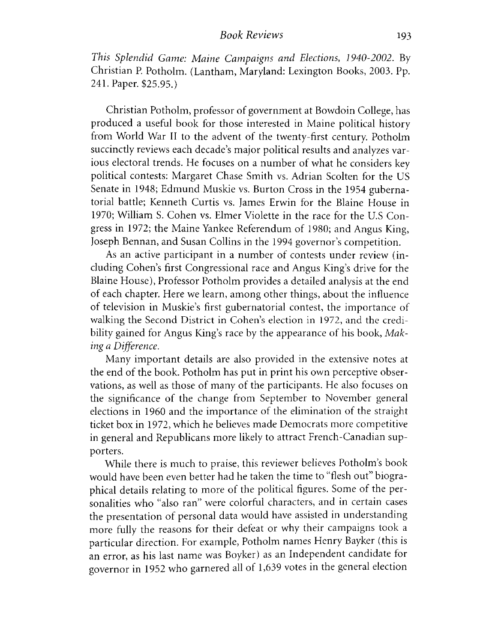*This Splendid Game: Maine Campaigns and Elections, 1940-2002.* By Christian P. Potholm. (Lantham, Maryland: Lexington Books, 2003. Pp. 241. Paper. \$25.95.)

Christian Potholm, professor of government at Bowdoin College, has produced a useful book for those interested in Maine political history from World War II to the advent of the twenty-first century. Potholm succinctly reviews each decade's major political results and analyzes various electoral trends. He focuses on a number of what he considers key political contests: Margaret Chase Smith vs. Adrian Scolten for the US Senate in 1948; Edmund Muskie vs. Burton Cross in the 1954 gubernatorial battle; Kenneth Curtis vs. James Erwin for the Blaine House in 1970; William S. Cohen vs. Elmer Violette in the race for the U.S Congress in 1972; the Maine Yankee Referendum of 1980; and Angus King, Joseph Bennan, and Susan Collins in the 1994 governor's competition.

As an active participant in a number of contests under review (including Cohen's first Congressional race and Angus King's drive for the Blaine House), Professor Potholm provides a detailed analysis at the end of each chapter. Here we learn, among other things, about the influence of television in Muskie's first gubernatorial contest, the importance of walking the Second District in Cohen's election in 1972, and the credibility gained for Angus King's race by the appearance of his book, *Making a Difference.* 

Many im portant details are also provided in the extensive notes at the end of the book. Potholm has put in print his own perceptive observations, as well as those of many of the participants. He also focuses on the significance of the change from September to November general elections in 1960 and the importance of the elimination of the straight ticket box in 1972, which he believes made Democrats more competitive in general and Republicans more likely to attract French-Canadian supporters.

While there is much to praise, this reviewer believes Potholm's book would have been even better had he taken the time to "flesh out" biographical details relating to more of the political figures. Some of the personalities who "also ran" were colorful characters, and in certain cases the presentation of personal data would have assisted in understanding more fully the reasons for their defeat or why their campaigns took a particular direction. For example, Potholm names Henry Bayker (this is an error, as his last name was Boyker) as an Independent candidate for governor in 1952 who garnered all of 1,639 votes in the general election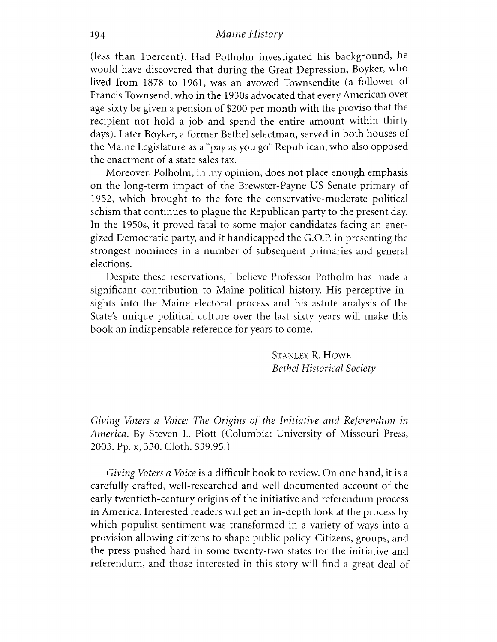(less than lpercent). Had Potholm investigated his background, he would have discovered that during the Great Depression, Boyker, who lived from 1878 to 1961, was an avowed Townsendite (a follower of Francis Townsend, who in the 1930s advocated that every American over age sixty be given a pension of \$200 per month with the proviso that the recipient not hold a job and spend the entire amount within thirty days). Later Boyker, a former Bethel selectman, served in both houses of the Maine Legislature as a "pay as you go" Republican, who also opposed the enactment of a state sales tax.

Moreover, Polholm, in my opinion, does not place enough emphasis on the long-term impact of the Brewster-Payne US Senate primary of 1952, which brought to the fore the conservative-moderate political schism that continues to plague the Republican party to the present day. In the 1950s, it proved fatal to some major candidates facing an energized Dem ocratic party, and it handicapped the G.O.P. in presenting the strongest nominees in a number of subsequent primaries and general elections.

Despite these reservations, I believe Professor Potholm has made a significant contribution to Maine political history. His perceptive insights into the Maine electoral process and his astute analysis of the State's unique political culture over the last sixty years will make this book an indispensable reference for years to come.

> STANLEY R. HOWE *Bethel Historical Society*

*Giving Voters a Voice: The Origins of the Initiative and Referendum in A m erica.* By Steven L. Piott (Columbia: University of Missouri Press, 2003. Pp. x, 330. Cloth. \$39.95.)

*Giving Voters a Voice* is a difficult book to review. On one hand, it is a carefully crafted, well-researched and well documented account of the early twentieth-century origins of the initiative and referendum process in America. Interested readers will get an in-depth look at the process by which populist sentiment was transformed in a variety of ways into a provision allowing citizens to shape public policy. Citizens, groups, and the press pushed hard in some twenty-two states for the initiative and referendum, and those interested in this story will find a great deal of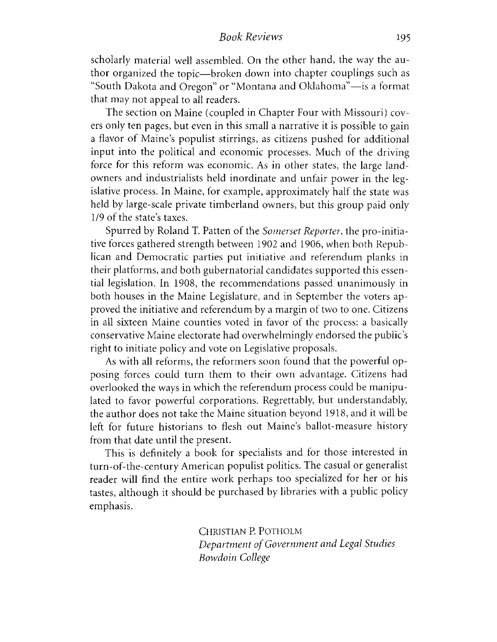### *Book Reviews* 195

scholarly material well assembled. On the other hand, the way the author organized the topic— broken down into chapter couplings such as "South Dakota and Oregon" or "Montana and Oklahoma"— is a format that may not appeal to all readers.

The section on Maine (coupled in Chapter Four with Missouri) covers only ten pages, but even in this small a narrative it is possible to gain a flavor of Maine's populist stirrings, as citizens pushed for additional input into the political and economic processes. Much of the driving force for this reform was economic. As in other states, the large landowners and industrialists held inordinate and unfair power in the legislative process. In Maine, for example, approximately half the state was held by large-scale private timberland owners, but this group paid only 1/9 of the state's taxes.

Spurred by Roland T. Patten of the *Somerset Reporter*, the pro-initiative forces gathered strength between 1902 and 1906, when both Republican and Democratic parties put initiative and referendum planks in their platforms, and both gubernatorial candidates supported this essential legislation. In 1908, the recommendations passed unanimously in both houses in the Maine Legislature, and in September the voters approved the initiative and referendum by a margin of two to one. Citizens in all sixteen Maine counties voted in favor of the process: a basically conservative Maine electorate had overwhelmingly endorsed the public's right to initiate policy and vote on Legislative proposals.

As with all reforms, the reformers soon found that the powerful opposing forces could turn them to their own advantage. Citizens had overlooked the ways in which the referendum process could be manipulated to favor powerful corporations. Regrettably, but understandably, the author does not take the Maine situation beyond 1918, and it will be left for future historians to flesh out Maine's ballot-measure history from that date until the present.

This is definitely a book for specialists and for those interested in turn-of-the-century American populist politics. The casual or generalist reader will find the entire work perhaps too specialized for her or his tastes, although it should be purchased by libraries with a public policy emphasis.

> CHRISTIAN P. POTHOLM *Department of Government and Legal Studies Bow doin College*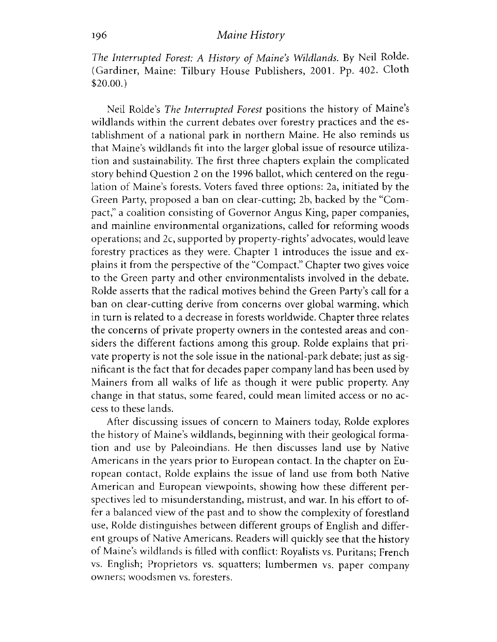*The Interrupted Forest: A History of Maine's Wildlands. By Neil Rolde.* (Gardiner, Maine: Tilbury House Publishers, 2001. Pp. 402. Cloth \$20.00.)

Neil Rolde's *The Interrupted Forest* positions the history of Maine's wildlands within the current debates over forestry practices and the establishment of a national park in northern Maine. He also reminds us that Maine's wildlands fit into the larger global issue of resource utilization and sustainability. The first three chapters explain the complicated story behind Question 2 on the 1996 ballot, which centered on the regulation of Maine's forests. Voters faved three options: 2a, initiated by the Green Party, proposed a ban on clear-cutting; 2b, backed by the "Com pact," a coalition consisting of Governor Angus King, paper companies, and mainline environmental organizations, called for reforming woods operations; and 2c, supported by property-rights' advocates, would leave forestry practices as they were. Chapter 1 introduces the issue and explains it from the perspective of the "Compact." Chapter two gives voice to the Green party and other environmentalists involved in the debate. Rolde asserts that the radical motives behind the Green Party's call for a ban on clear-cutting derive from concerns over global warming, which in turn is related to a decrease in forests worldwide. Chapter three relates the concerns of private property owners in the contested areas and considers the different factions among this group. Rolde explains that private property is not the sole issue in the national-park debate; just as significant is the fact that for decades paper company land has been used by Mainers from all walks of life as though it were public property. Any change in that status, some feared, could mean limited access or no access to these lands.

After discussing issues of concern to Mainers today, Rolde explores the history of Maine's wildlands, beginning with their geological formation and use by Paleoindians. He then discusses land use by Native Americans in the years prior to European contact. In the chapter on European contact, Rolde explains the issue of land use from both Native American and European viewpoints, showing how these different perspectives led to misunderstanding, mistrust, and war. In his effort to offer a balanced view of the past and to show the complexity of forestland use, Rolde distinguishes between different groups of English and different groups of Native Americans. Readers will quickly see that the history of Maine's wildlands is filled with conflict: Royalists vs. Puritans; French vs. English; Proprietors vs. squatters; lumbermen vs. paper company owners; woodsmen vs. foresters.